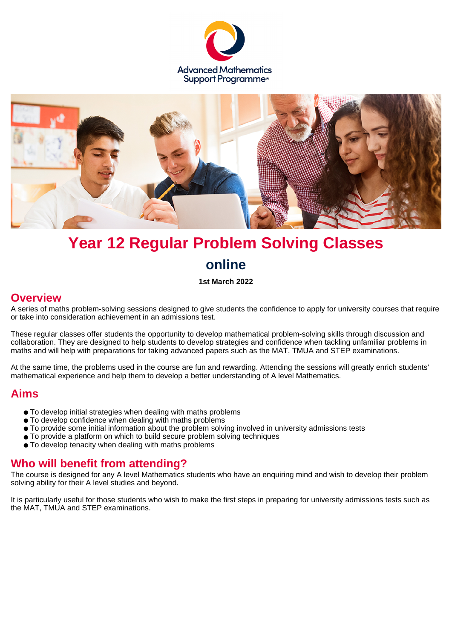



# **Year 12 Regular Problem Solving Classes online**

#### **1st March 2022**

#### **Overview**

A series of maths problem-solving sessions designed to give students the confidence to apply for university courses that require or take into consideration achievement in an admissions test.

These regular classes offer students the opportunity to develop mathematical problem-solving skills through discussion and collaboration. They are designed to help students to develop strategies and confidence when tackling unfamiliar problems in maths and will help with preparations for taking advanced papers such as the MAT, TMUA and STEP examinations.

At the same time, the problems used in the course are fun and rewarding. Attending the sessions will greatly enrich students' mathematical experience and help them to develop a better understanding of A level Mathematics.

#### **Aims**

- To develop initial strategies when dealing with maths problems
- To develop confidence when dealing with maths problems
- To provide some initial information about the problem solving involved in university admissions tests
- To provide a platform on which to build secure problem solving techniques
- To develop tenacity when dealing with maths problems

#### **Who will benefit from attending?**

The course is designed for any A level Mathematics students who have an enquiring mind and wish to develop their problem solving ability for their A level studies and beyond.

It is particularly useful for those students who wish to make the first steps in preparing for university admissions tests such as the MAT, TMUA and STEP examinations.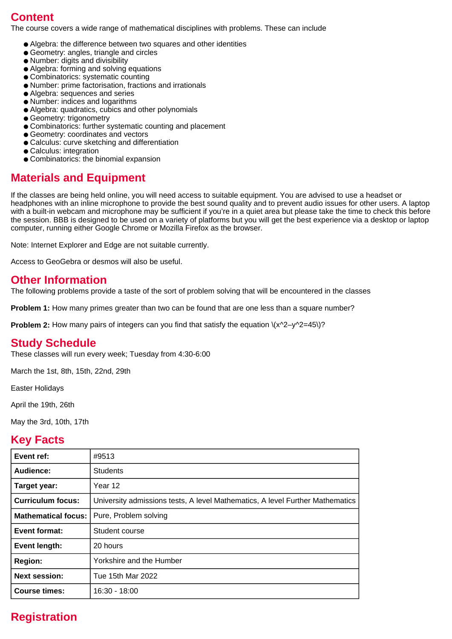## **Content**

The course covers a wide range of mathematical disciplines with problems. These can include

- Algebra: the difference between two squares and other identities
- Geometry: angles, triangle and circles
- Number: digits and divisibility
- Algebra: forming and solving equations
- Combinatorics: systematic counting
- Number: prime factorisation, fractions and irrationals
- Algebra: sequences and series
- Number: indices and logarithms
- Algebra: quadratics, cubics and other polynomials
- Geometry: trigonometry
- Combinatorics: further systematic counting and placement
- Geometry: coordinates and vectors
- Calculus: curve sketching and differentiation
- Calculus: integration
- Combinatorics: the binomial expansion

### **Materials and Equipment**

If the classes are being held online, you will need access to suitable equipment. You are advised to use a headset or headphones with an inline microphone to provide the best sound quality and to prevent audio issues for other users. A laptop with a built-in webcam and microphone may be sufficient if you're in a quiet area but please take the time to check this before the session. BBB is designed to be used on a variety of platforms but you will get the best experience via a desktop or laptop computer, running either Google Chrome or Mozilla Firefox as the browser.

Note: Internet Explorer and Edge are not suitable currently.

Access to GeoGebra or desmos will also be useful.

#### **Other Information**

The following problems provide a taste of the sort of problem solving that will be encountered in the classes

**Problem 1:** How many primes greater than two can be found that are one less than a square number?

**Problem 2:** How many pairs of integers can you find that satisfy the equation  $\langle x^2-y^2=45\rangle$ ?

#### **Study Schedule**

These classes will run every week; Tuesday from 4:30-6:00

March the 1st, 8th, 15th, 22nd, 29th

Easter Holidays

April the 19th, 26th

May the 3rd, 10th, 17th

#### **Key Facts**

| Event ref:                 | #9513                                                                         |
|----------------------------|-------------------------------------------------------------------------------|
| Audience:                  | <b>Students</b>                                                               |
| Target year:               | Year 12                                                                       |
| <b>Curriculum focus:</b>   | University admissions tests, A level Mathematics, A level Further Mathematics |
| <b>Mathematical focus:</b> | Pure, Problem solving                                                         |
| <b>Event format:</b>       | Student course                                                                |
| Event length:              | 20 hours                                                                      |
| <b>Region:</b>             | Yorkshire and the Humber                                                      |
| <b>Next session:</b>       | Tue 15th Mar 2022                                                             |
| <b>Course times:</b>       | 16:30 - 18:00                                                                 |

# **Registration**